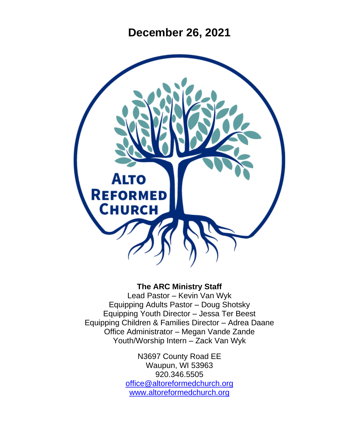**December 26, 2021**



#### **The ARC Ministry Staff**

Lead Pastor – Kevin Van Wyk Equipping Adults Pastor – Doug Shotsky Equipping Youth Director – Jessa Ter Beest Equipping Children & Families Director – Adrea Daane Office Administrator – Megan Vande Zande Youth/Worship Intern – Zack Van Wyk

> N3697 County Road EE Waupun, WI 53963 920.346.5505 [office@altoreformedchurch.org](mailto:office@altoreformedchurch.org) [www.altoreformedchurch.org](http://www.altoreformedchurch.org/)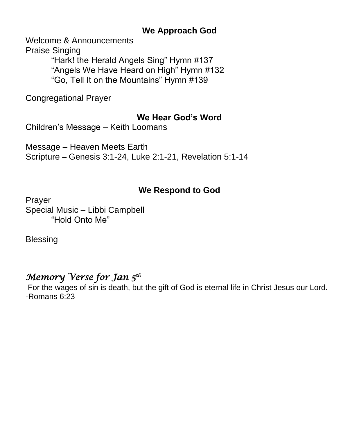### **We Approach God**

Welcome & Announcements

Praise Singing "Hark! the Herald Angels Sing" Hymn #137 "Angels We Have Heard on High" Hymn #132 "Go, Tell It on the Mountains" Hymn #139

Congregational Prayer

#### **We Hear God's Word**

Children's Message – Keith Loomans

Message – Heaven Meets Earth Scripture – Genesis 3:1-24, Luke 2:1-21, Revelation 5:1-14

## **We Respond to God**

Prayer Special Music – Libbi Campbell "Hold Onto Me"

**Blessing** 

## *Memory Verse for Jan 5th*

For the wages of sin is death, but the gift of God is eternal life in Christ Jesus our Lord. -Romans 6:23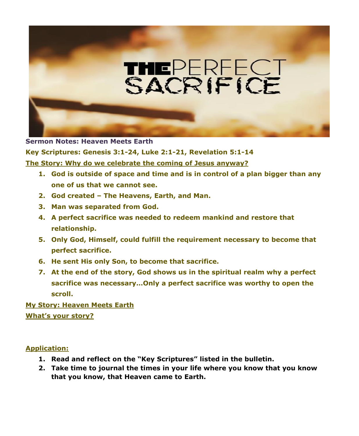

**Sermon Notes: Heaven Meets Earth Key Scriptures: Genesis 3:1-24, Luke 2:1-21, Revelation 5:1-14 The Story: Why do we celebrate the coming of Jesus anyway?**

- **1. God is outside of space and time and is in control of a plan bigger than any one of us that we cannot see.**
- **2. God created – The Heavens, Earth, and Man.**
- **3. Man was separated from God.**
- **4. A perfect sacrifice was needed to redeem mankind and restore that relationship.**
- **5. Only God, Himself, could fulfill the requirement necessary to become that perfect sacrifice.**
- **6. He sent His only Son, to become that sacrifice.**
- **7. At the end of the story, God shows us in the spiritual realm why a perfect sacrifice was necessary…Only a perfect sacrifice was worthy to open the scroll.**

**My Story: Heaven Meets Earth What's your story?**

**Application:**

- **1. Read and reflect on the "Key Scriptures" listed in the bulletin.**
- **2. Take time to journal the times in your life where you know that you know that you know, that Heaven came to Earth.**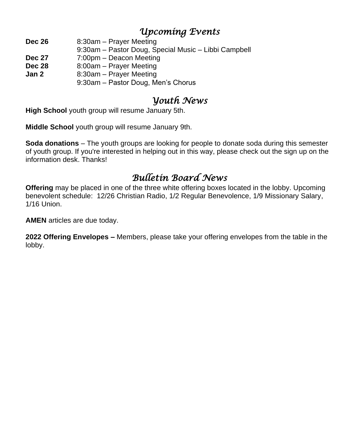## *Upcoming Events*

**Dec 26** 8:30am – Prayer Meeting

- 9:30am Pastor Doug, Special Music Libbi Campbell
- **Dec 27** 7:00pm Deacon Meeting
- **Dec 28** 8:00am Prayer Meeting
- **Jan 2** 8:30am Prayer Meeting
	- 9:30am Pastor Doug, Men's Chorus

# *Youth News*

**High School** youth group will resume January 5th.

**Middle School** youth group will resume January 9th.

**Soda donations** – The youth groups are looking for people to donate soda during this semester of youth group. If you're interested in helping out in this way, please check out the sign up on the information desk. Thanks!

# *Bulletin Board News*

**Offering** may be placed in one of the three white offering boxes located in the lobby. Upcoming benevolent schedule: 12/26 Christian Radio, 1/2 Regular Benevolence, 1/9 Missionary Salary, 1/16 Union.

**AMEN** articles are due today.

**2022 Offering Envelopes –** Members, please take your offering envelopes from the table in the lobby.